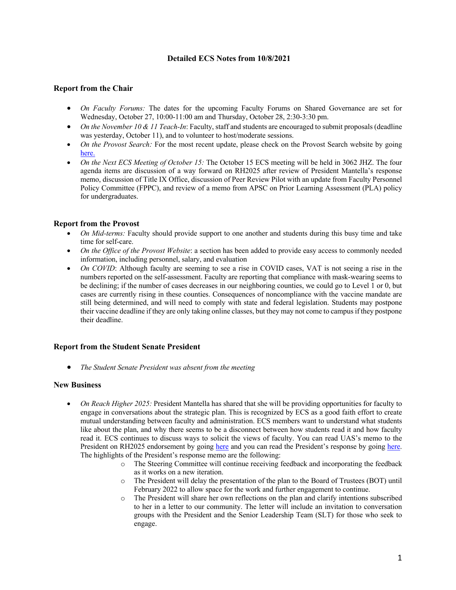## **Detailed ECS Notes from 10/8/2021**

# **Report from the Chair**

- *On Faculty Forums:* The dates for the upcoming Faculty Forums on Shared Governance are set for Wednesday, October 27, 10:00-11:00 am and Thursday, October 28, 2:30-3:30 pm.
- *On the November 10 & 11 Teach-In*: Faculty, staff and students are encouraged to submit proposals (deadline was yesterday, October 11), and to volunteer to host/moderate sessions.
- *On the Provost Search:* For the most recent update, please check on the Provost Search website by going here.
- *On the Next ECS Meeting of October 15:* The October 15 ECS meeting will be held in 3062 JHZ. The four agenda items are discussion of a way forward on RH2025 after review of President Mantella's response memo, discussion of Title IX Office, discussion of Peer Review Pilot with an update from Faculty Personnel Policy Committee (FPPC), and review of a memo from APSC on Prior Learning Assessment (PLA) policy for undergraduates.

### **Report from the Provost**

- *On Mid-terms:* Faculty should provide support to one another and students during this busy time and take time for self-care.
- *On the Office of the Provost Website*: a section has been added to provide easy access to commonly needed information, including personnel, salary, and evaluation
- *On COVID*: Although faculty are seeming to see a rise in COVID cases, VAT is not seeing a rise in the numbers reported on the self-assessment. Faculty are reporting that compliance with mask-wearing seems to be declining; if the number of cases decreases in our neighboring counties, we could go to Level 1 or 0, but cases are currently rising in these counties. Consequences of noncompliance with the vaccine mandate are still being determined, and will need to comply with state and federal legislation. Students may postpone their vaccine deadline if they are only taking online classes, but they may not come to campus if they postpone their deadline.

### **Report from the Student Senate President**

• *The Student Senate President was absent from the meeting*

### **New Business**

- *On Reach Higher 2025:* President Mantella has shared that she will be providing opportunities for faculty to engage in conversations about the strategic plan. This is recognized by ECS as a good faith effort to create mutual understanding between faculty and administration. ECS members want to understand what students like about the plan, and why there seems to be a disconnect between how students read it and how faculty read it. ECS continues to discuss ways to solicit the views of faculty. You can read UAS's memo to the President on RH2025 endorsement by going here and you can read the President's response by going here. The highlights of the President's response memo are the following:
	- o The Steering Committee will continue receiving feedback and incorporating the feedback as it works on a new iteration.
	- o The President will delay the presentation of the plan to the Board of Trustees (BOT) until February 2022 to allow space for the work and further engagement to continue.
	- o The President will share her own reflections on the plan and clarify intentions subscribed to her in a letter to our community. The letter will include an invitation to conversation groups with the President and the Senior Leadership Team (SLT) for those who seek to engage.